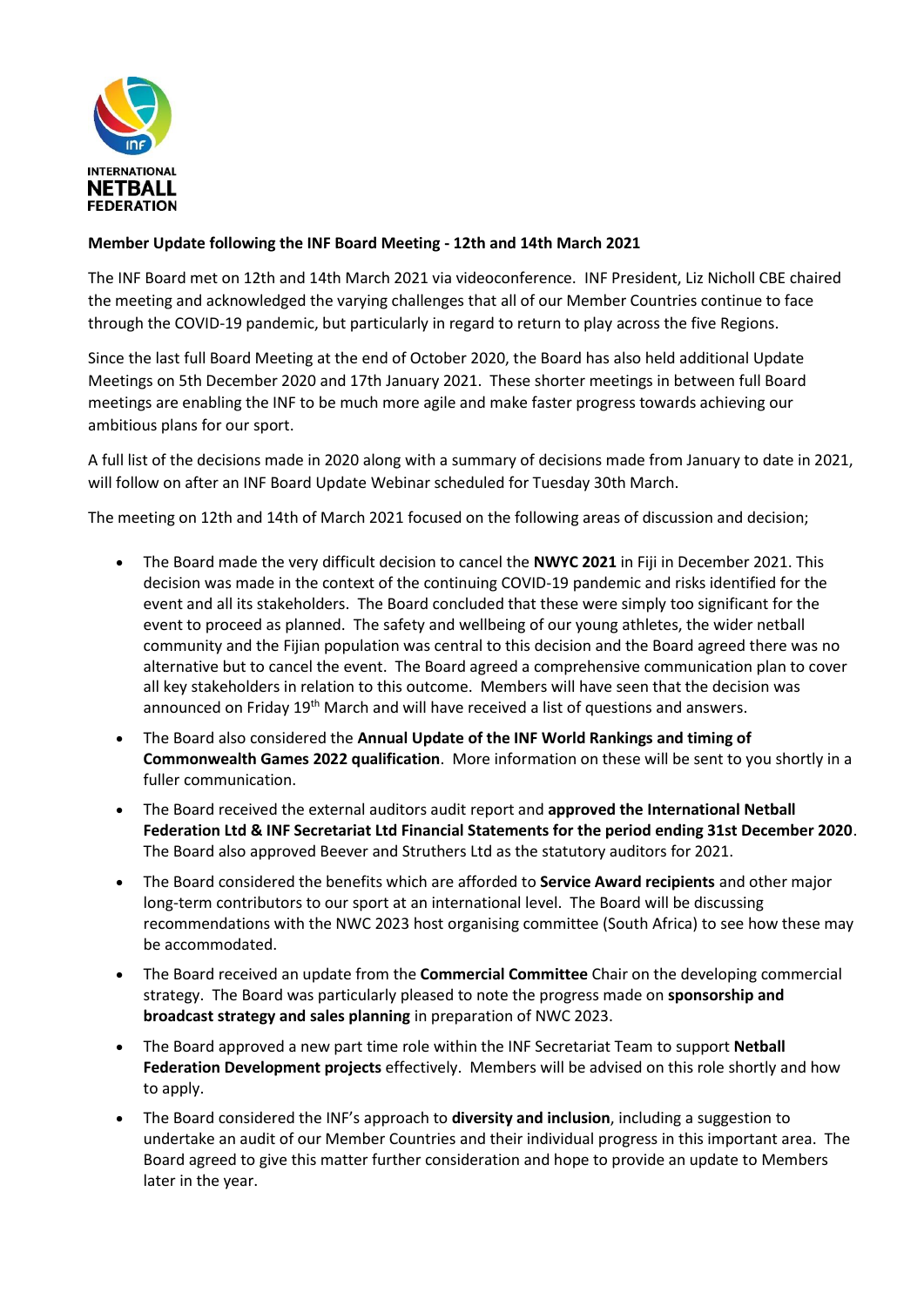

## **Member Update following the INF Board Meeting - 12th and 14th March 2021**

The INF Board met on 12th and 14th March 2021 via videoconference. INF President, Liz Nicholl CBE chaired the meeting and acknowledged the varying challenges that all of our Member Countries continue to face through the COVID-19 pandemic, but particularly in regard to return to play across the five Regions.

Since the last full Board Meeting at the end of October 2020, the Board has also held additional Update Meetings on 5th December 2020 and 17th January 2021. These shorter meetings in between full Board meetings are enabling the INF to be much more agile and make faster progress towards achieving our ambitious plans for our sport.

A full list of the decisions made in 2020 along with a summary of decisions made from January to date in 2021, will follow on after an INF Board Update Webinar scheduled for Tuesday 30th March.

The meeting on 12th and 14th of March 2021 focused on the following areas of discussion and decision;

- The Board made the very difficult decision to cancel the **NWYC 2021** in Fiji in December 2021. This decision was made in the context of the continuing COVID-19 pandemic and risks identified for the event and all its stakeholders. The Board concluded that these were simply too significant for the event to proceed as planned. The safety and wellbeing of our young athletes, the wider netball community and the Fijian population was central to this decision and the Board agreed there was no alternative but to cancel the event. The Board agreed a comprehensive communication plan to cover all key stakeholders in relation to this outcome. Members will have seen that the decision was announced on Friday 19<sup>th</sup> March and will have received a list of questions and answers.
- The Board also considered the **Annual Update of the INF World Rankings and timing of Commonwealth Games 2022 qualification**. More information on these will be sent to you shortly in a fuller communication.
- The Board received the external auditors audit report and **approved the International Netball Federation Ltd & INF Secretariat Ltd Financial Statements for the period ending 31st December 2020**. The Board also approved Beever and Struthers Ltd as the statutory auditors for 2021.
- The Board considered the benefits which are afforded to **Service Award recipients** and other major long-term contributors to our sport at an international level. The Board will be discussing recommendations with the NWC 2023 host organising committee (South Africa) to see how these may be accommodated.
- The Board received an update from the **Commercial Committee** Chair on the developing commercial strategy. The Board was particularly pleased to note the progress made on **sponsorship and broadcast strategy and sales planning** in preparation of NWC 2023.
- The Board approved a new part time role within the INF Secretariat Team to support **Netball Federation Development projects** effectively. Members will be advised on this role shortly and how to apply.
- The Board considered the INF's approach to **diversity and inclusion**, including a suggestion to undertake an audit of our Member Countries and their individual progress in this important area. The Board agreed to give this matter further consideration and hope to provide an update to Members later in the year.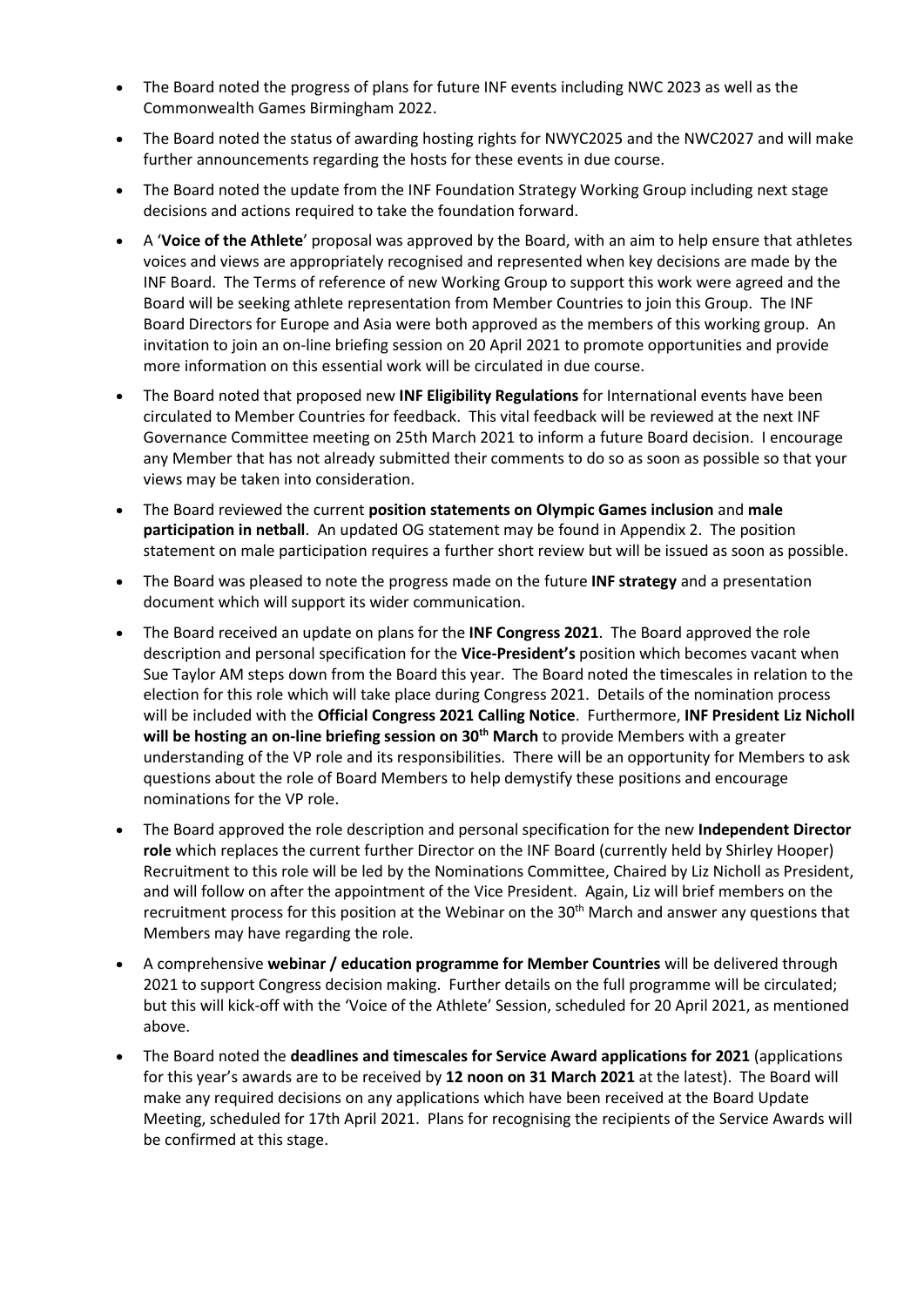- The Board noted the progress of plans for future INF events including NWC 2023 as well as the Commonwealth Games Birmingham 2022.
- The Board noted the status of awarding hosting rights for NWYC2025 and the NWC2027 and will make further announcements regarding the hosts for these events in due course.
- The Board noted the update from the INF Foundation Strategy Working Group including next stage decisions and actions required to take the foundation forward.
- A '**Voice of the Athlete**' proposal was approved by the Board, with an aim to help ensure that athletes voices and views are appropriately recognised and represented when key decisions are made by the INF Board. The Terms of reference of new Working Group to support this work were agreed and the Board will be seeking athlete representation from Member Countries to join this Group. The INF Board Directors for Europe and Asia were both approved as the members of this working group. An invitation to join an on-line briefing session on 20 April 2021 to promote opportunities and provide more information on this essential work will be circulated in due course.
- The Board noted that proposed new **INF Eligibility Regulations** for International events have been circulated to Member Countries for feedback. This vital feedback will be reviewed at the next INF Governance Committee meeting on 25th March 2021 to inform a future Board decision. I encourage any Member that has not already submitted their comments to do so as soon as possible so that your views may be taken into consideration.
- The Board reviewed the current **position statements on Olympic Games inclusion** and **male participation in netball**. An updated OG statement may be found in Appendix 2. The position statement on male participation requires a further short review but will be issued as soon as possible.
- The Board was pleased to note the progress made on the future **INF strategy** and a presentation document which will support its wider communication.
- The Board received an update on plans for the **INF Congress 2021**. The Board approved the role description and personal specification for the **Vice-President's** position which becomes vacant when Sue Taylor AM steps down from the Board this year. The Board noted the timescales in relation to the election for this role which will take place during Congress 2021. Details of the nomination process will be included with the **Official Congress 2021 Calling Notice**. Furthermore, **INF President Liz Nicholl will be hosting an on-line briefing session on 30th March** to provide Members with a greater understanding of the VP role and its responsibilities. There will be an opportunity for Members to ask questions about the role of Board Members to help demystify these positions and encourage nominations for the VP role.
- The Board approved the role description and personal specification for the new **Independent Director role** which replaces the current further Director on the INF Board (currently held by Shirley Hooper) Recruitment to this role will be led by the Nominations Committee, Chaired by Liz Nicholl as President, and will follow on after the appointment of the Vice President. Again, Liz will brief members on the recruitment process for this position at the Webinar on the 30<sup>th</sup> March and answer any questions that Members may have regarding the role.
- A comprehensive **webinar / education programme for Member Countries** will be delivered through 2021 to support Congress decision making. Further details on the full programme will be circulated; but this will kick-off with the 'Voice of the Athlete' Session, scheduled for 20 April 2021, as mentioned above.
- The Board noted the **deadlines and timescales for Service Award applications for 2021** (applications for this year's awards are to be received by **12 noon on 31 March 2021** at the latest). The Board will make any required decisions on any applications which have been received at the Board Update Meeting, scheduled for 17th April 2021. Plans for recognising the recipients of the Service Awards will be confirmed at this stage.